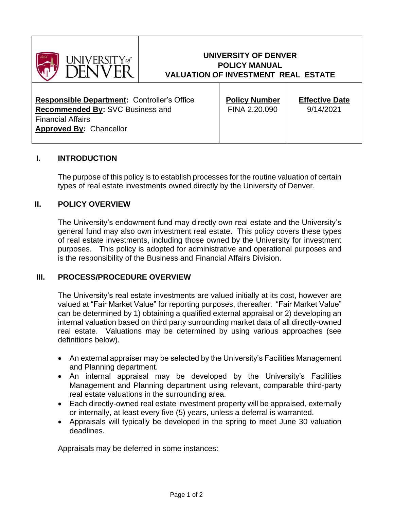

# **UNIVERSITY OF DENVER POLICY MANUAL VALUATION OF INVESTMENT REAL ESTATE**

| <b>Responsible Department: Controller's Office</b> |  |  |
|----------------------------------------------------|--|--|
| <b>Recommended By: SVC Business and</b>            |  |  |
| <b>Financial Affairs</b>                           |  |  |
| <b>Approved By: Chancellor</b>                     |  |  |
|                                                    |  |  |

**Policy Number** FINA 2.20.090

**Effective Date** 9/14/2021

### **I. INTRODUCTION**

The purpose of this policy is to establish processes for the routine valuation of certain types of real estate investments owned directly by the University of Denver.

#### **II. POLICY OVERVIEW**

The University's endowment fund may directly own real estate and the University's general fund may also own investment real estate. This policy covers these types of real estate investments, including those owned by the University for investment purposes. This policy is adopted for administrative and operational purposes and is the responsibility of the Business and Financial Affairs Division.

#### **III. PROCESS/PROCEDURE OVERVIEW**

The University's real estate investments are valued initially at its cost, however are valued at "Fair Market Value" for reporting purposes, thereafter. "Fair Market Value" can be determined by 1) obtaining a qualified external appraisal or 2) developing an internal valuation based on third party surrounding market data of all directly-owned real estate. Valuations may be determined by using various approaches (see definitions below).

- An external appraiser may be selected by the University's Facilities Management and Planning department.
- An internal appraisal may be developed by the University's Facilities Management and Planning department using relevant, comparable third-party real estate valuations in the surrounding area.
- Each directly-owned real estate investment property will be appraised, externally or internally, at least every five (5) years, unless a deferral is warranted.
- Appraisals will typically be developed in the spring to meet June 30 valuation deadlines.

Appraisals may be deferred in some instances: